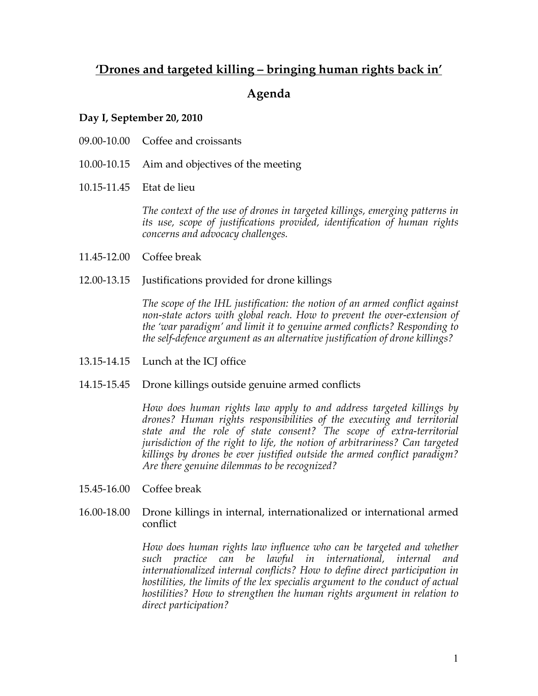# **'Drones and targeted killing – bringing human rights back in'**

## **Agenda**

#### **Day I, September 20, 2010**

- 09.00-10.00 Coffee and croissants
- 10.00-10.15 Aim and objectives of the meeting
- 10.15-11.45 Etat de lieu

*The context of the use of drones in targeted killings, emerging patterns in its use, scope of justifications provided, identification of human rights concerns and advocacy challenges.* 

- 11.45-12.00 Coffee break
- 12.00-13.15 Justifications provided for drone killings

*The scope of the IHL justification: the notion of an armed conflict against non-state actors with global reach. How to prevent the over-extension of the 'war paradigm' and limit it to genuine armed conflicts? Responding to the self-defence argument as an alternative justification of drone killings?*

- 13.15-14.15 Lunch at the ICJ office
- 14.15-15.45 Drone killings outside genuine armed conflicts

*How does human rights law apply to and address targeted killings by drones? Human rights responsibilities of the executing and territorial state and the role of state consent? The scope of extra-territorial jurisdiction of the right to life, the notion of arbitrariness? Can targeted killings by drones be ever justified outside the armed conflict paradigm? Are there genuine dilemmas to be recognized?*

- 15.45-16.00 Coffee break
- 16.00-18.00 Drone killings in internal, internationalized or international armed conflict

*How does human rights law influence who can be targeted and whether such practice can be lawful in international, internal and internationalized internal conflicts? How to define direct participation in hostilities, the limits of the lex specialis argument to the conduct of actual hostilities? How to strengthen the human rights argument in relation to direct participation?*